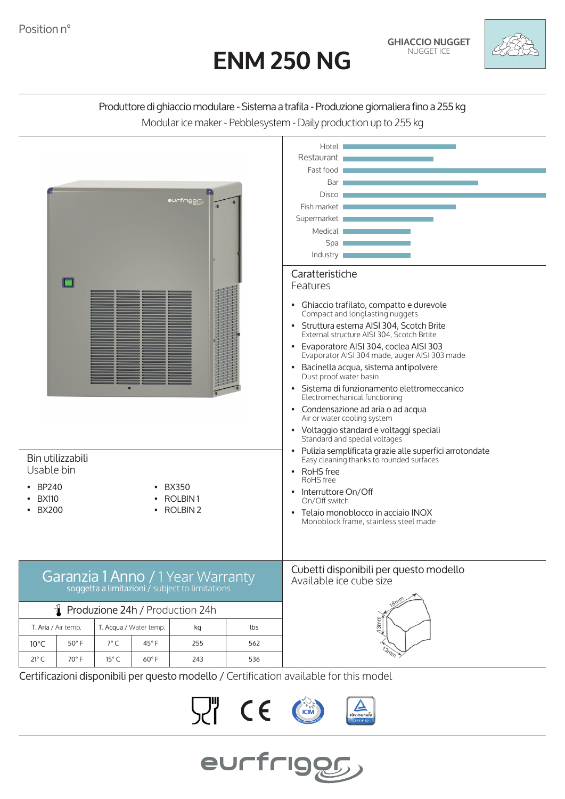# **ENM 250 NG**



# Produttore di ghiaccio modulare - Sistema a trafila - Produzione giornaliera fino a 255 kg Modular ice maker - Pebblesystem - Daily production up to 255 kg



Certificazioni disponibili per questo modello / Certification available for this model